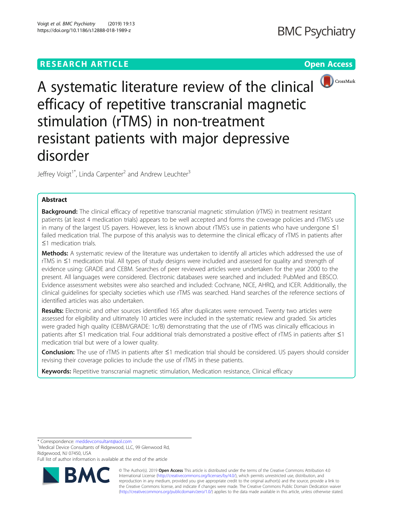

A systematic literature review of the clinical  $\bigcirc$  CrossMark efficacy of repetitive transcranial magnetic stimulation (rTMS) in non-treatment resistant patients with major depressive disorder

Jeffrey Voigt<sup>1\*</sup>, Linda Carpenter<sup>2</sup> and Andrew Leuchter<sup>3</sup>

# Abstract

Background: The clinical efficacy of repetitive transcranial magnetic stimulation (rTMS) in treatment resistant patients (at least 4 medication trials) appears to be well accepted and forms the coverage policies and rTMS's use in many of the largest US payers. However, less is known about rTMS's use in patients who have undergone ≤1 failed medication trial. The purpose of this analysis was to determine the clinical efficacy of rTMS in patients after ≤1 medication trials.

Methods: A systematic review of the literature was undertaken to identify all articles which addressed the use of rTMS in ≤1 medication trial. All types of study designs were included and assessed for quality and strength of evidence using: GRADE and CEBM. Searches of peer reviewed articles were undertaken for the year 2000 to the present. All languages were considered. Electronic databases were searched and included: PubMed and EBSCO. Evidence assessment websites were also searched and included: Cochrane, NICE, AHRQ, and ICER. Additionally, the clinical guidelines for specialty societies which use rTMS was searched. Hand searches of the reference sections of identified articles was also undertaken.

Results: Electronic and other sources identified 165 after duplicates were removed. Twenty two articles were assessed for eligibility and ultimately 10 articles were included in the systematic review and graded. Six articles were graded high quality (CEBM/GRADE: 1c/B) demonstrating that the use of rTMS was clinically efficacious in patients after ≤1 medication trial. Four additional trials demonstrated a positive effect of rTMS in patients after ≤1 medication trial but were of a lower quality.

Conclusion: The use of rTMS in patients after ≤1 medication trial should be considered. US payers should consider revising their coverage policies to include the use of rTMS in these patients.

Keywords: Repetitive transcranial magnetic stimulation, Medication resistance, Clinical efficacy

\* Correspondence: [meddevconsultant@aol.com](mailto:meddevconsultant@aol.com) <sup>1</sup>

<sup>1</sup>Medical Device Consultants of Ridgewood, LLC, 99 Glenwood Rd, Ridgewood, NJ 07450, USA

Full list of author information is available at the end of the article



© The Author(s). 2019 **Open Access** This article is distributed under the terms of the Creative Commons Attribution 4.0 International License [\(http://creativecommons.org/licenses/by/4.0/](http://creativecommons.org/licenses/by/4.0/)), which permits unrestricted use, distribution, and reproduction in any medium, provided you give appropriate credit to the original author(s) and the source, provide a link to the Creative Commons license, and indicate if changes were made. The Creative Commons Public Domain Dedication waiver [\(http://creativecommons.org/publicdomain/zero/1.0/](http://creativecommons.org/publicdomain/zero/1.0/)) applies to the data made available in this article, unless otherwise stated.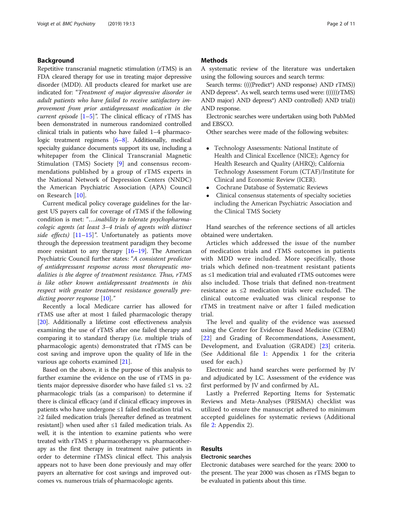# Background

Repetitive transcranial magnetic stimulation (rTMS) is an FDA cleared therapy for use in treating major depressive disorder (MDD). All products cleared for market use are indicated for: "Treatment of major depressive disorder in adult patients who have failed to receive satisfactory improvement from prior antidepressant medication in the *current episode*  $[1-5]$  $[1-5]$  $[1-5]$  $[1-5]$  $[1-5]$ ". The clinical efficacy of rTMS has been demonstrated in numerous randomized controlled clinical trials in patients who have failed 1–4 pharmacologic treatment regimens [\[6](#page-9-0)–[8\]](#page-9-0). Additionally, medical specialty guidance documents support its use, including a whitepaper from the Clinical Transcranial Magnetic Stimulation (TMS) Society [\[9](#page-9-0)] and consensus recommendations published by a group of rTMS experts in the National Network of Depression Centers (NNDC) the American Psychiatric Association (APA) Council on Research [[10\]](#page-9-0).

Current medical policy coverage guidelines for the largest US payers call for coverage of rTMS if the following condition is met: "….inability to tolerate psychopharmacologic agents (at least 3–4 trials of agents with distinct side effects)  $[11-15]$  $[11-15]$  $[11-15]$  $[11-15]$  $[11-15]$ ". Unfortunately as patients move through the depression treatment paradigm they become more resistant to any therapy [[16](#page-9-0)–[19](#page-9-0)]. The American Psychiatric Council further states: "A consistent predictor of antidepressant response across most therapeutic modalities is the degree of treatment resistance. Thus, rTMS is like other known antidepressant treatments in this respect with greater treatment resistance generally pre-dicting poorer response [[10\]](#page-9-0)."

Recently a local Medicare carrier has allowed for rTMS use after at most 1 failed pharmacologic therapy [[20\]](#page-9-0). Additionally a lifetime cost effectiveness analysis examining the use of rTMS after one failed therapy and comparing it to standard therapy (i.e. multiple trials of pharmacologic agents) demonstrated that rTMS can be cost saving and improve upon the quality of life in the various age cohorts examined [[21](#page-9-0)].

Based on the above, it is the purpose of this analysis to further examine the evidence on the use of rTMS in patients major depressive disorder who have failed ≤1 vs. ≥2 pharmacologic trials (as a comparison) to determine if there is clinical efficacy (and if clinical efficacy improves in patients who have undergone ≤1 failed medication trial vs. ≥2 failed medication trials [hereafter defined as treatment resistant]) when used after ≤1 failed medication trials. As well, it is the intention to examine patients who were treated with  $rTMS \pm pharmacother$ apy vs. pharmacotherapy as the first therapy in treatment naïve patients in order to determine rTMS's clinical effect. This analysis appears not to have been done previously and may offer payers an alternative for cost savings and improved outcomes vs. numerous trials of pharmacologic agents.

## **Methods**

A systematic review of the literature was undertaken using the following sources and search terms:

Search terms: ((((Predict\*) AND response) AND rTMS)) AND depress\*. As well, search terms used were: ((((((rTMS)) AND major) AND depress\*) AND controlled) AND trial)) AND response.

Electronic searches were undertaken using both PubMed and EBSCO.

Other searches were made of the following websites:

- Technology Assessments: National Institute of Health and Clinical Excellence (NICE); Agency for Health Research and Quality (AHRQ); California Technology Assessment Forum (CTAF)/Institute for Clinical and Economic Review (ICER).
- Cochrane Database of Systematic Reviews
- Clinical consensus statements of specialty societies including the American Psychiatric Association and the Clinical TMS Society

Hand searches of the reference sections of all articles obtained were undertaken.

Articles which addressed the issue of the number of medication trials and rTMS outcomes in patients with MDD were included. More specifically, those trials which defined non-treatment resistant patients as ≤1 medication trial and evaluated rTMS outcomes were also included. Those trials that defined non-treatment resistance as ≤2 medication trials were excluded. The clinical outcome evaluated was clinical response to rTMS in treatment naïve or after 1 failed medication trial.

The level and quality of the evidence was assessed using the Center for Evidence Based Medicine (CEBM) [[22\]](#page-9-0) and Grading of Recommendations, Assessment, Development, and Evaluation (GRADE) [[23\]](#page-9-0) criteria. (See Additional file [1](#page-9-0): Appendix 1 for the criteria used for each.)

Electronic and hand searches were performed by JV and adjudicated by LC. Assessment of the evidence was first performed by JV and confirmed by AL.

Lastly a Preferred Reporting Items for Systematic Reviews and Meta-Analyses (PRISMA) checklist was utilized to ensure the manuscript adhered to minimum accepted guidelines for systematic reviews (Additional file [2](#page-9-0): Appendix 2).

# Results

# Electronic searches

Electronic databases were searched for the years: 2000 to the present. The year 2000 was chosen as rTMS began to be evaluated in patients about this time.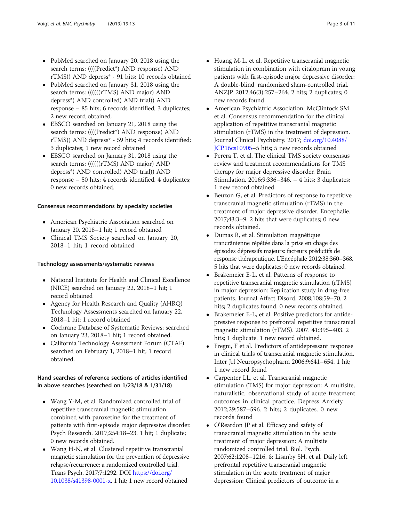- PubMed searched on January 20, 2018 using the search terms: ((((Predict\*) AND response) AND rTMS)) AND depress\* - 91 hits; 10 records obtained
- PubMed searched on January 31, 2018 using the search terms: (((((((rTMS) AND major) AND depress\*) AND controlled) AND trial)) AND response – 85 hits; 6 records identified; 3 duplicates; 2 new record obtained.
- EBSCO searched on January 21, 2018 using the search terms: ((((Predict\*) AND response) AND rTMS)) AND depress\* - 59 hits; 4 records identified; 3 duplicates; 1 new record obtained
- EBSCO searched on January 31, 2018 using the search terms: (((((((rTMS) AND major) AND depress\*) AND controlled) AND trial)) AND response – 50 hits; 4 records identified. 4 duplicates; 0 new records obtained.

# Consensus recommendations by specialty societies

- American Psychiatric Association searched on January 20, 2018–1 hit; 1 record obtained
- Clinical TMS Society searched on January 20, 2018–1 hit; 1 record obtained

# Technology assessments/systematic reviews

- National Institute for Health and Clinical Excellence (NICE) searched on January 22, 2018–1 hit; 1 record obtained
- Agency for Health Research and Quality (AHRQ) Technology Assessments searched on January 22, 2018–1 hit; 1 record obtained
- Cochrane Database of Systematic Reviews; searched on January 23, 2018–1 hit; 1 record obtained.
- California Technology Assessment Forum (CTAF) searched on February 1, 2018–1 hit; 1 record obtained.

# Hand searches of reference sections of articles identified in above searches (searched on 1/23/18 & 1/31/18)

- Wang Y-M, et al. Randomized controlled trial of repetitive transcranial magnetic stimulation combined with paroxetine for the treatment of patients with first-episode major depressive disorder. Psych Research. 2017;254:18–23. 1 hit; 1 duplicate; 0 new records obtained.
- Wang H-N, et al. Clustered repetitive transcranial magnetic stimulation for the prevention of depressive relapse/recurrence: a randomized controlled trial. Trans Psych. 2017;7:1292. DOI [https://doi.org/](https://doi.org/10.1038/s41398-0001-x) [10.1038/s41398-0001-x](https://doi.org/10.1038/s41398-0001-x). 1 hit; 1 new record obtained
- Huang M-L, et al. Repetitive transcranial magnetic stimulation in combination with citalopram in young patients with first-episode major depressive disorder: A double-blind, randomized sham-controlled trial. ANZJP. 2012;46(3):257–264. 2 hits; 2 duplicates; 0 new records found
- American Psychiatric Association. McClintock SM et al. Consensus recommendation for the clinical application of repetitive transcranial magnetic stimulation (rTMS) in the treatment of depression. Journal Clinical Psychiatry. 2017; [doi.org/10.4088/](http://doi.org/10.4088/JCP.16cs10905) [JCP.16cs10905](http://doi.org/10.4088/JCP.16cs10905)–5 hits; 5 new records obtained
- Perera T, et al. The clinical TMS society consensus review and treatment recommendations for TMS therapy for major depressive disorder. Brain Stimulation. 2016;9:336–346. – 4 hits; 3 duplicates; 1 new record obtained.
- Beuzon G, et al. Predictors of response to repetitive transcranial magnetic stimulation (rTMS) in the treatment of major depressive disorder. Encephalie. 2017;43:3–9. 2 hits that were duplicates; 0 new records obtained.
- Dumas R, et al. Stimulation magnétique trancrânienne répétée dans la prise en chage des épisodes dépressifs majeurs: facteurs prédictifs de response thérapeutique. L'Encéphale 2012;38:360–368. 5 hits that were duplicates; 0 new records obtained.
- Brakemeier E-L, et al. Patterns of response to repetitive transcranial magnetic stimulation (rTMS) in major depression: Replication study in drug-free patients. Journal Affect Disord. 2008;108:59–70. 2 hits; 2 duplicates found. 0 new records obtained.
- Brakemeier E-L, et al. Positive predictors for antidepressive response to prefrontal repetitive transcranial magnetic stimulation (rTMS). 2007. 41:395–403. 2 hits; 1 duplicate. 1 new record obtained.
- Fregni, F et al. Predictors of antidepressant response in clinical trials of transcranial magnetic stimulation. Inter Jrl Neuropsychopharm 2006;9:641–654. 1 hit; 1 new record found
- Carpenter LL, et al. Transcranial magnetic stimulation (TMS) for major depression: A multisite, naturalistic, observational study of acute treatment outcomes in clinical practice. Depress Anxiety 2012;29:587–596. 2 hits; 2 duplicates. 0 new records found
- O'Reardon JP et al. Efficacy and safety of transcranial magnetic stimulation in the acute treatment of major depression: A multisite randomized controlled trial. Biol. Psych. 2007;62:1208–1216. & Lisanby SH, et al. Daily left prefrontal repetitive transcranial magnetic stimulation in the acute treatment of major depression: Clinical predictors of outcome in a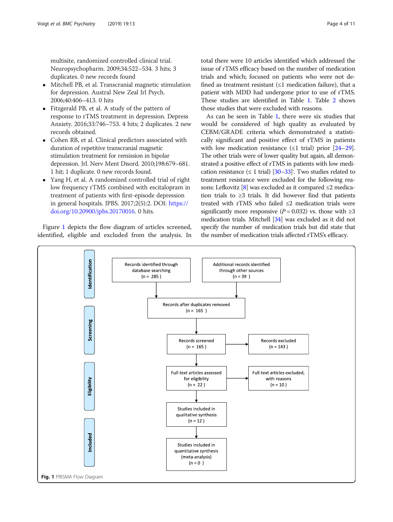multisite, randomized controlled clinical trial. Neuropsychopharm. 2009;34:522–534. 3 hits; 3 duplicates. 0 new records found

- Mitchell PB, et al. Transcranial magnetic stimulation for depression. Austral New Zeal Jrl Psych. 2006;40:406–413. 0 hits
- Fitzgerald PB, et al. A study of the pattern of response to rTMS treatment in depression. Depress Anxiety. 2016;33:746–753. 4 hits; 2 duplicates. 2 new records obtained.
- Cohen RB, et al. Clinical predictors associated with duration of repetitive transcranial magnetic stimulation treatment for remission in bipolar depression. Jrl. Nerv Ment Disord. 2010;198:679–681. 1 hit; 1 duplicate. 0 new records found.
- Yang H, et al. A randomized controlled trial of right low frequency rTMS combined with escitalopram in treatment of patients with first-episode depression in general hospitals. JPBS. 2017;2(5):2. DOI: [https://](https://doi.org/10.20900/jpbs.20170016) [doi.org/10.20900/jpbs.20170016](https://doi.org/10.20900/jpbs.20170016). 0 hits.

Figure 1 depicts the flow diagram of articles screened, identified, eligible and excluded from the analysis. In

total there were 10 articles identified which addressed the issue of rTMS efficacy based on the number of medication trials and which; focused on patients who were not defined as treatment resistant  $(≤1$  medication failure), that a patient with MDD had undergone prior to use of rTMS. These studies are identified in Table [1](#page-4-0). Table [2](#page-6-0) shows those studies that were excluded with reasons.

As can be seen in Table [1](#page-4-0), there were six studies that would be considered of high quality as evaluated by CEBM/GRADE criteria which demonstrated a statistically significant and positive effect of rTMS in patients with low medication resistance  $(≤1$  trial) prior  $[24-29]$  $[24-29]$  $[24-29]$  $[24-29]$  $[24-29]$ . The other trials were of lower quality but again, all demonstrated a positive effect of rTMS in patients with low medication resistance  $( \leq 1 \text{ trial})$   $[30-33]$  $[30-33]$  $[30-33]$ . Two studies related to treatment resistance were excluded for the following rea-sons: Lefkovitz [\[8](#page-9-0)] was excluded as it compared  $\leq$ 2 medication trials to ≥3 trials. It did however find that patients treated with rTMS who failed ≤2 medication trials were significantly more responsive ( $P = 0.032$ ) vs. those with  $\geq 3$ medication trials. Mitchell [\[34\]](#page-10-0) was excluded as it did not specify the number of medication trials but did state that the number of medication trials affected rTMS's efficacy.

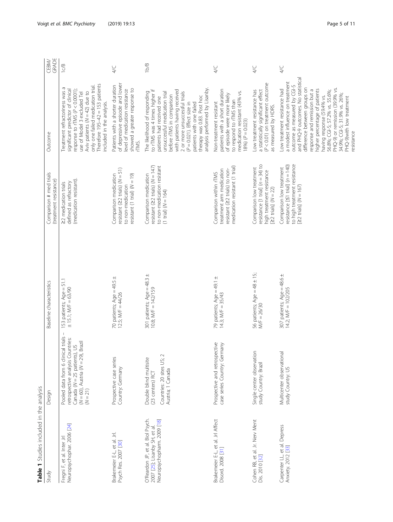<span id="page-4-0"></span>

| Table 1 Studies included in the analysis                                                         |                                                                                                                                                                              |                                                            |                                                                                                                                              |                                                                                                                                                                                                                                                                                                                                                                                                                    |                      |
|--------------------------------------------------------------------------------------------------|------------------------------------------------------------------------------------------------------------------------------------------------------------------------------|------------------------------------------------------------|----------------------------------------------------------------------------------------------------------------------------------------------|--------------------------------------------------------------------------------------------------------------------------------------------------------------------------------------------------------------------------------------------------------------------------------------------------------------------------------------------------------------------------------------------------------------------|----------------------|
| Study                                                                                            | Design                                                                                                                                                                       | Baseline characteristics                                   | Comparison # med trials<br>(treatment resistance)                                                                                            | Outcome                                                                                                                                                                                                                                                                                                                                                                                                            | GRADE<br><b>CEBM</b> |
| Neuropsychophar. 2006 [24]<br>Fregni F, et al. Inter Jrl                                         | Pooled data from 6 clinical trials<br>retrospective analysis Countries:<br>Brazil<br>$\leq$<br>Canada (N = 25 patients),<br>$(N = 60)$ , Austria ( $N = 29$ ),<br>$(N = 21)$ | 153 patients; Age = 51.1<br>$± 15.1; M/F = 63/90$          | (medication resistant).<br>defined as refractory<br>22 medication trials                                                                     | Therefore $195-42 = 153$ patients<br>only one failed medication trial.<br>Treatment refractoriness was a<br>significant predictor of clinical<br>response to rTMS (P < 0.0001);<br>Aviv patients ( $N = 42$ ) due to<br>use of Model 3 excluded Tel<br>included in the analysis.                                                                                                                                   | 1c/B                 |
| Brakemeier E-L, et al. Jrl.<br>Psych Res. 2007 [30]                                              | Prospective case series<br>Country: Germany                                                                                                                                  | 70 patients; $Age = 49.5 \pm$<br>12.5; $M/F = 44/26$       | resistant ( $\geq$ 2 trials) ( $N = 51$ )<br>Comparison medication<br>resistant (1 trial) $(N = 19)$<br>to non-medication                    | of depressive episode and lower<br>Patients with a shorter duration<br>showed a greater response to<br>level of medication resistance<br>rTMS.                                                                                                                                                                                                                                                                     | $\frac{1}{4}$        |
| O'Reardon JP, et al. Biol Psych.<br>Neuropsychopharm. 2009 [18]<br>2007 [25]; Lisanby SH, et al. | Countries: 20 sites US; 2<br>Double blind multisite<br>Austria; 1 Canada<br>(23 centers) RCT                                                                                 | 301 patients; Age = $48.3 \pm$<br>$10.8$ ; M/F = $142/159$ | resistant ( $\geq$ 2 trials) ( $N = 147$ )<br>to non-medication resistant<br>Comparison medication<br>$(1 \text{ trial}) (N = 164)$          | analysis performed by Lisanby.<br>to rTMS was 4 times higher if<br>with patients having received<br>The likelihood of responding<br>unsuccessful medication trial<br>2 or more unsuccessful trials<br>before rTMS in comparison<br>therapy was 0.83. Post hoc<br>patients had received one<br>$(P = 0.021)$ . Effect size in<br>patients with one failed                                                           | 1b/B                 |
| Brakemeier E-L, et al. Jrl Affect<br>Disord. 2008 [31]                                           | Prospective and retrospective<br>case series Country: Germany                                                                                                                | 79 patients; Age = 49.1 $\pm$<br>$14.3$ ; M/F = $35/43$    | medication resistant (1 trial)<br>treatment arm medication<br>resistant (22 trials) to non-<br>Comparison within rTMS                        | patients with a short duration<br>medication resistant (43% vs.<br>of episode were more likely<br>to respond to rTMS than<br>Non-treatment resistant<br>$18%$ $(P = 0.023)$                                                                                                                                                                                                                                        | $\frac{1}{4}$        |
| Cohen RB, et al. Jr. Nerv Ment<br>Dis. 2010 [32]                                                 | Single center observation<br>study Country: Brazil                                                                                                                           | 56 patients; $Age = 48 \pm 15$ ;<br>$M/F = 26/30$          | resistance $[1 \text{ trial}]$ $(n = 34)$ to<br>Comparison low treatment<br>high treatment resistance<br>[ $\geq$ 2 trials] ( $N = 22$ )     | (P < 0.01) on treatment outcome<br>a statistically significant effect<br>Low treatment resistance has<br>as measured by HDRS.                                                                                                                                                                                                                                                                                      | 4/C                  |
| Carpenter LL, et al. Depress<br>Anxiety. 2012 [33]                                               | Multicenter observational<br>study Country: US                                                                                                                               | 307 patients; Age = 48.6 ±<br>14.2; M/F = 102/205          | to high treatment resistance<br>resistance $[51 \text{ trial}]$ ( $n = 140$ )<br>Comparison low treatment<br>$[22 \text{ trials}] (N = 167)$ | and PHQ-9 outcomes. No statistical<br>a modest influence on treatment<br>outcome as measured by CGI-S<br>difference between groups on<br>PHQ-9) or remission (39.9% vs.<br>higher percentage of patients<br>Low treatment resistance had<br>response and remission but a<br>56.8%; CGI-S; 57.2% vs. 55.6%;<br>34.9%; CGI-S; 31.9% vs. 26%;<br>having response (59.4% vs.<br>PHQ-9)with low treatment<br>resistance | $4\sqrt{ }$          |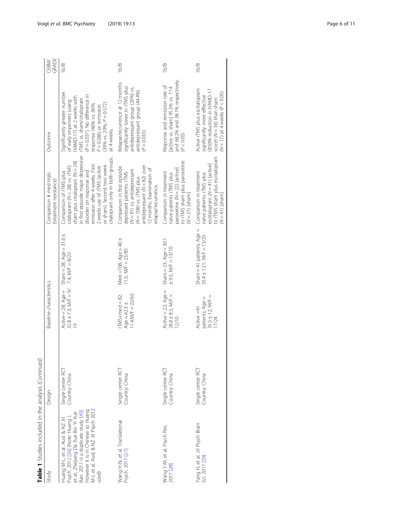| Sham $=$ 41 patients; Age $=$<br>Sham $=$ 28; Age $=$ 31.6 $\pm$<br>$35.4 \pm 12.1$ ; M/F = $15/25$<br>Med =108; $Age = 40 \pm$<br>Sham = $23;$ Age = $30.1$<br>$\pm$ 9.5; M/F = 13/10<br>$11.5$ ; M/F = 23/85<br>7.4; $M/F = 8/20$<br>Baseline characteristics<br>$32.8 \pm 7.3$ ; M/F = 9/<br>Active $= 28$ ; Age $=$<br>Active $=$ 22; Age $=$<br>$rTMS+med = 82$ ;<br>11.4; $M = 22/60$<br>$28.8 \pm 8.5$ ; M/F =<br>$35.5 \pm 12$ ; M/F =<br>patients; Age =<br>Age = $42.3 \pm$<br>Active =41<br>12/10<br>17/24<br>Single center RCT<br>Single center RCT<br>Single center RCT<br>Single center RCT<br>Country: China<br>Country: China<br>Country: China<br>Country: China<br>Design<br>M-L et al. Aust & NZ Jrl Psych 2012<br>However it is in Chinese so Huang<br>Ban. 2011 is a duplicate study [43].<br>et al., Zhejiang Da Xue Bio Yi Xue<br>Psych. 2012 [26] (Note: Huang L<br>Huang M-L, et al. Aust & NZ Jrl<br>Wang H-N, et al. Translational<br>Yang H, et al. Jrl Psych Brain<br>Sci. 2017 [29]<br>Wang Y-M, et al. Psych Res.<br>Psych. 2017 [27]<br>2017 [28]<br>Study<br>used) | Table 1 Studies included in the analysis (Continued) |                                                                                                                                                                                                                                                                                                |                                                                                                                                                                                                                                                                  |                       |
|-----------------------------------------------------------------------------------------------------------------------------------------------------------------------------------------------------------------------------------------------------------------------------------------------------------------------------------------------------------------------------------------------------------------------------------------------------------------------------------------------------------------------------------------------------------------------------------------------------------------------------------------------------------------------------------------------------------------------------------------------------------------------------------------------------------------------------------------------------------------------------------------------------------------------------------------------------------------------------------------------------------------------------------------------------------------------------------------------------|------------------------------------------------------|------------------------------------------------------------------------------------------------------------------------------------------------------------------------------------------------------------------------------------------------------------------------------------------------|------------------------------------------------------------------------------------------------------------------------------------------------------------------------------------------------------------------------------------------------------------------|-----------------------|
|                                                                                                                                                                                                                                                                                                                                                                                                                                                                                                                                                                                                                                                                                                                                                                                                                                                                                                                                                                                                                                                                                                     |                                                      | Comparison # med trials<br>(treatment resistance)                                                                                                                                                                                                                                              | Outcome                                                                                                                                                                                                                                                          | GRADE<br><b>CEBM/</b> |
|                                                                                                                                                                                                                                                                                                                                                                                                                                                                                                                                                                                                                                                                                                                                                                                                                                                                                                                                                                                                                                                                                                     |                                                      | in first episode major depressive<br>citalopram only in both groups.<br>sham plus citalopram (N = 28)<br>remission after 4 weeks. First<br>or sham). Second two week<br>citalopram $(N = 28)$ vs. $rTMS$<br>2 weeks use of rTMS (active<br>disorder on response and<br>Comparison of rTMS plus | Significantly greater number<br>(P = 0.031). No difference in<br>HAMD-17) at 2 weeks with<br>TMS vs. sham/citalopram<br>of early improvers (using<br>$(39% \text{ vs. } 29\%; P = 0.572)$<br>response (46% vs. 36%;<br>$P = 0.586$ ) or remission<br>at 4 weeks. | 1b/B                  |
|                                                                                                                                                                                                                                                                                                                                                                                                                                                                                                                                                                                                                                                                                                                                                                                                                                                                                                                                                                                                                                                                                                     |                                                      | antidepressant ( $N = 82$ ) over<br>Comparison in first episode<br>12 months. Examination of<br>$(N = 91)$ vs. antidepressant<br>depressed patients: rTMS<br>$(N = 108)$ vs. $rTMS$ plus<br>relapse/recurrence.                                                                                | Relapse/recurrence at 12 months<br>significantly lower in rTMS plus<br>antidepressant group (20%) vs.<br>antidepressant group (44.4%)<br>$(P = 0.033)$                                                                                                           | 1b/B                  |
|                                                                                                                                                                                                                                                                                                                                                                                                                                                                                                                                                                                                                                                                                                                                                                                                                                                                                                                                                                                                                                                                                                     |                                                      | to rTMS sham plus paroxetine<br>paroxetine (N = 22) [active]<br>Comparison in treatment<br>naïve patients rTMS plus<br>$(N = 21)$ [sham]                                                                                                                                                       | and 68.2% and 38.1% respectively.<br>Response and remission rate of<br>active vs. sham] 95.5% vs. 71.4<br>(P < 0.05)                                                                                                                                             | 1b/B                  |
|                                                                                                                                                                                                                                                                                                                                                                                                                                                                                                                                                                                                                                                                                                                                                                                                                                                                                                                                                                                                                                                                                                     |                                                      | to rTMS sham plus escitalopram<br>escitalopram (N = 41) [active]<br>Comparison in treatment<br>naïve patients rTMS plus<br>$(N = 41)$ [sham]                                                                                                                                                   | Active rTMS plus escitalopram<br>(250% reduction in HAMD-17<br>$(N = 17)$ at 4 weeks $(P < 0.05)$<br>significantly more effective<br>score) $(N = 36)$ than sham                                                                                                 | 1b/B                  |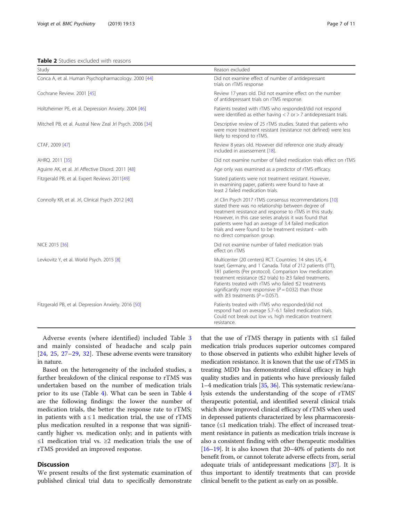<span id="page-6-0"></span>Table 2 Studies excluded with reasons

| Study                                                     | Reason excluded                                                                                                                                                                                                                                                                                                                                                                                                            |  |
|-----------------------------------------------------------|----------------------------------------------------------------------------------------------------------------------------------------------------------------------------------------------------------------------------------------------------------------------------------------------------------------------------------------------------------------------------------------------------------------------------|--|
| Conca A, et al. Human Psychopharmacology. 2000 [44]       | Did not examine effect of number of antidepressant<br>trials on rTMS response                                                                                                                                                                                                                                                                                                                                              |  |
| Cochrane Review. 2001 [45]                                | Review 17 years old. Did not examine effect on the number<br>of antidepressant trials on rTMS response.                                                                                                                                                                                                                                                                                                                    |  |
| Holtzheimer PE, et al. Depression Anxiety. 2004 [46]      | Patients treated with rTMS who responded/did not respond<br>were identified as either having $<$ 7 or $>$ 7 antidepressant trials.                                                                                                                                                                                                                                                                                         |  |
| Mitchell PB, et al. Austral New Zeal Jrl Psych. 2006 [34] | Descriptive review of 25 rTMS studies. Stated that patients who<br>were more treatment resistant (resistance not defined) were less<br>likely to respond to rTMS.                                                                                                                                                                                                                                                          |  |
| CTAF, 2009 [47]                                           | Review 8 years old. However did reference one study already<br>included in assessement [18].                                                                                                                                                                                                                                                                                                                               |  |
| AHRQ. 2011 [35]                                           | Did not examine number of failed medication trials effect on rTMS                                                                                                                                                                                                                                                                                                                                                          |  |
| Aguirre AK, et al. Jrl Affective Disord. 2011 [48]        | Age only was examined as a predictor of rTMS efficacy.                                                                                                                                                                                                                                                                                                                                                                     |  |
| Fitzgerald PB, et al. Expert Reviews 2011[49]             | Stated patients were not treatment resistant. However,<br>in examining paper, patients were found to have at<br>least 2 failed medication trials.                                                                                                                                                                                                                                                                          |  |
| Connolly KR, et al. Jrl, Clinical Psych 2012 [40]         | Jrl Clin Psych 2017 rTMS consensus recommendations [10]<br>stated there was no relationship between degree of<br>treatment resistance and response to rTMS in this study.<br>However, in this case series analysis it was found that<br>patients were had an average of 3.4 failed medication<br>trials and were found to be treatment resistant - with<br>no direct comparison group.                                     |  |
| NICE 2015 [36]                                            | Did not examine number of failed medication trials<br>effect on rTMS                                                                                                                                                                                                                                                                                                                                                       |  |
| Levkovitz Y, et al. World Psych. 2015 [8]                 | Multicenter (20 centers) RCT. Countries: 14 sites US, 4<br>Israel, Germany, and 1 Canada. Total of 212 patients (ITT),<br>181 patients (Per protocol). Comparison low medication<br>treatment resistance ( $\leq$ 2 trials) to $\geq$ 3 failed treatments.<br>Patients treated with rTMS who failed ≤2 treatments<br>significantly more responsive ( $P = 0.032$ ) than those<br>with $\geq$ 3 treatments ( $P = 0.057$ ). |  |
| Fitzgerald PB, et al. Depression Anxiety. 2016 [50]       | Patients treated with rTMS who responded/did not<br>respond had on average 5.7-6.1 failed medication trials.<br>Could not break out low vs. high medication treatment<br>resistance.                                                                                                                                                                                                                                       |  |

Adverse events (where identified) included Table [3](#page-7-0) and mainly consisted of headache and scalp pain [[24](#page-9-0), [25,](#page-9-0) [27](#page-9-0)–[29](#page-10-0), [32\]](#page-10-0). These adverse events were transitory in nature.

Based on the heterogeneity of the included studies, a further breakdown of the clinical response to rTMS was undertaken based on the number of medication trials prior to its use (Table [4](#page-8-0)). What can be seen in Table [4](#page-8-0) are the following findings: the lower the number of medication trials, the better the response rate to rTMS; in patients with  $a \le 1$  medication trial, the use of rTMS plus medication resulted in a response that was significantly higher vs. medication only; and in patients with ≤1 medication trial vs. ≥2 medication trials the use of rTMS provided an improved response.

# **Discussion**

We present results of the first systematic examination of published clinical trial data to specifically demonstrate

that the use of rTMS therapy in patients with ≤1 failed medication trials produces superior outcomes compared to those observed in patients who exhibit higher levels of medication resistance. It is known that the use of rTMS in treating MDD has demonstrated clinical efficacy in high quality studies and in patients who have previously failed 1–4 medication trials [\[35](#page-10-0), [36](#page-10-0)]. This systematic review/analysis extends the understanding of the scope of rTMS' therapeutic potential, and identified several clinical trials which show improved clinical efficacy of rTMS when used in depressed patients characterized by less pharmacoresistance  $(\leq 1$  medication trials). The effect of increased treatment resistance in patients as medication trials increase is also a consistent finding with other therapeutic modalities [[16](#page-9-0)–[19\]](#page-9-0). It is also known that 20–40% of patients do not benefit from, or cannot tolerate adverse effects from, serial adequate trials of antidepressant medications [\[37](#page-10-0)]. It is thus important to identify treatments that can provide clinical benefit to the patient as early on as possible.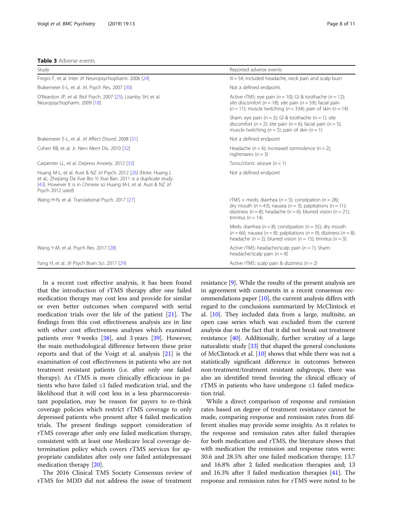## <span id="page-7-0"></span>Table 3 Adverse events

| Study                                                                                                                                                                                                                        | Reported adverse events                                                                                                                                                                                                                        |
|------------------------------------------------------------------------------------------------------------------------------------------------------------------------------------------------------------------------------|------------------------------------------------------------------------------------------------------------------------------------------------------------------------------------------------------------------------------------------------|
| Fregni F, et al. Inter Jrl Neuropsychopharm. 2006 [24]                                                                                                                                                                       | $N = 54$ ; Included headache, neck pain and scalp burn                                                                                                                                                                                         |
| Brakemeier E-L, et al. Jrl. Psych Res. 2007 [30]                                                                                                                                                                             | Not a defined endpoint.                                                                                                                                                                                                                        |
| O'Reardon JP, et al. Biol Psych. 2007 [25]; Lisanby SH, et al.<br>Neuropsychopharm. 2009 [18]                                                                                                                                | Active rTMS: eye pain ( $n = 10$ ); GI & toothache ( $n = 12$ );<br>site discomfort ( $n = 18$ ); site pain ( $n = 59$ ); facial pain<br>$(n = 11)$ ; muscle twitching $(n = 334)$ ; pain of skin $(n = 14)$ .                                 |
|                                                                                                                                                                                                                              | Sham: eye pain ( $n = 3$ ); GI & toothache ( $n = 1$ ); site<br>discomfort ( $n = 2$ ); site pain ( $n = 6$ ); facial pain ( $n = 5$ );<br>muscle twitching ( $n = 5$ ); pain of skin ( $n = 1$ )                                              |
| Brakemeier E-L, et al. Jrl Affect Disord. 2008 [31]                                                                                                                                                                          | Not a defined endpoint                                                                                                                                                                                                                         |
| Cohen RB, et al. Jr. Nerv Ment Dis. 2010 [32]                                                                                                                                                                                | Headache ( $n = 6$ ); increased somnolence ( $n = 2$ );<br>nightmares $(n = 3)$                                                                                                                                                                |
| Carpenter LL, et al. Depress Anxiety. 2012 [33]                                                                                                                                                                              | Tonic/clonic seizure $(n = 1)$                                                                                                                                                                                                                 |
| Huang M-L, et al. Aust & NZ Jrl Psych. 2012 [26] (Note: Huang L<br>et al., Zhejiang Da Xue Bio Yi Xue Ban. 2011 is a duplicate study<br>[43]. However it is in Chinese so Huang M-L et al. Aust & NZ Jrl<br>Psych 2012 used) | Not a defined endpoint                                                                                                                                                                                                                         |
| Wang H-N, et al. Translational Psych. 2017 [27]                                                                                                                                                                              | rTMS + meds: diarrhea ( $n = 5$ ); constipation ( $n = 28$ );<br>dry mouth ( $n = 43$ ); nausea ( $n = 3$ ); palpitations ( $n = 11$ );<br>dizziness ( $n = 8$ ); headache ( $n = 6$ ); blurred vision ( $n = 21$ );<br>tinnitus ( $n = 14$ ). |
|                                                                                                                                                                                                                              | Meds: diarrhea ( $n = 8$ ); constipation ( $n = 35$ ); dry mouth<br>$(n = 66)$ ; nausea $(n = 8)$ ; palpitations $(n = 9)$ ; dizziness $(n = 8)$ ;<br>headache (n = 2); blurred vision (n = 15); tinnitus (n = 3).                             |
| Wang Y-M, et al. Psych Res. 2017 [28]                                                                                                                                                                                        | Active rTMS: headache/scalp pain $(n = 7)$ ; Sham:<br>headache/scalp pain $(n = 8)$                                                                                                                                                            |
| Yang H, et al. Jrl Psych Brain Sci. 2017 [29]                                                                                                                                                                                | Active rTMS: scalp pain & dizziness ( $n = 2$ )                                                                                                                                                                                                |

In a recent cost effective analysis, it has been found that the introduction of rTMS therapy after one failed medication therapy may cost less and provide for similar or even better outcomes when compared with serial medication trials over the life of the patient [[21](#page-9-0)]. The findings from this cost effectiveness analysis are in line with other cost effectiveness analyses which examined patients over 9 weeks [\[38](#page-10-0)], and 3 years [\[39](#page-10-0)]. However, the main methodological difference between these prior reports and that of the Voigt et al. analysis [[21](#page-9-0)] is the examination of cost effectiveness in patients who are not treatment resistant patients (i.e. after only one failed therapy). As rTMS is more clinically efficacious in patients who have failed ≤1 failed medication trial, and the likelihood that it will cost less in a less pharmacoresistant population, may be reason for payers to re-think coverage policies which restrict rTMS coverage to only depressed patients who present after 4 failed medication trials. The present findings support consideration of rTMS coverage after only one failed medication therapy, consistent with at least one Medicare local coverage determination policy which covers rTMS services for appropriate candidates after only one failed antidepressant medication therapy [[20\]](#page-9-0).

The 2016 Clinical TMS Society Consensus review of rTMS for MDD did not address the issue of treatment resistance [[9\]](#page-9-0). While the results of the present analysis are in agreement with comments in a recent consensus recommendations paper [\[10](#page-9-0)], the current analysis differs with regard to the conclusions summarized by McClintock et al. [[10](#page-9-0)]. They included data from a large, multisite, an open case series which was excluded from the current analysis due to the fact that it did not break out treatment resistance [[40](#page-10-0)]. Additionally, further scrutiny of a large naturalistic study [\[33\]](#page-10-0) that shaped the general conclusions of McClintock et al. [[10\]](#page-9-0) shows that while there was not a statistically significant difference in outcomes between non-treatment/treatment resistant subgroups, there was also an identified trend favoring the clinical efficacy of rTMS in patients who have undergone ≤1 failed medication trial.

While a direct comparison of response and remission rates based on degree of treatment resistance cannot be made, comparing response and remission rates from different studies may provide some insights. As it relates to the response and remission rates after failed therapies for both medication and rTMS, the literature shows that with medication the remission and response rates were: 30.6 and 28.5% after one failed medication therapy; 13.7 and 16.8% after 2 failed medication therapies and; 13 and 16.3% after 3 failed medication therapies [\[41](#page-10-0)]. The response and remission rates for rTMS were noted to be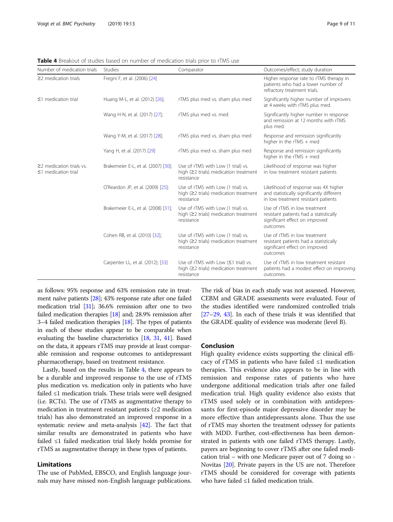| Number of medication trials                                 | <b>Studies</b>                      | Comparator                                                                                             | Outcomes/effect; study duration                                                                                          |
|-------------------------------------------------------------|-------------------------------------|--------------------------------------------------------------------------------------------------------|--------------------------------------------------------------------------------------------------------------------------|
| $\geq$ 2 medication trials                                  | Fregni F, et al. (2006) [24]        |                                                                                                        | Higher response rate to rTMS therapy in<br>patients who had a lower number of<br>refractory treatment trials.            |
| $\leq$ 1 medication trial                                   | Huang M-L, et al. (2012) [26];      | rTMS plus med vs. sham plus med                                                                        | Significantly higher number of improvers<br>at 4 weeks with rTMS plus med.                                               |
|                                                             | Wang H-N, et al. (2017) [27];       | rTMS plus med vs. med                                                                                  | Significantly higher number in response<br>and remission at 12 months with rTMS<br>plus med.                             |
|                                                             | Wang Y-M, et al. (2017) [28];       | rTMS plus med vs. sham plus med                                                                        | Response and remission significantly<br>higher in the rTMS + med                                                         |
|                                                             | Yang H, et al. (2017) [29]          | rTMS plus med vs. sham plus med                                                                        | Response and remission significantly<br>higher in the $rTMS + med$                                                       |
| $\geq$ 2 medication trials vs.<br>$\leq$ 1 medication trial | Brakemeier E-L, et al. (2007) [30]; | Use of rTMS with Low (1 trial) vs.<br>high $(22 \text{ trials})$ medication treatment<br>resistance    | Likelihood of response was higher<br>in low treatment resistant patients                                                 |
|                                                             | O'Reardon JP, et al. (2009) [25];   | Use of rTMS with Low (1 trial) vs.<br>high $(22 \text{ trials})$ medication treatment<br>resistance    | Likelihood of response was 4X higher<br>and statistically significantly different<br>in low treatment resistant patients |
|                                                             | Brakemeier E-L, et al. (2008) [31]; | Use of rTMS with Low (1 trial) vs.<br>high $(22 \text{ trials})$ medication treatment<br>resistance    | Use of rTMS in low treatment<br>resistant patients had a statistically<br>significant effect on improved<br>outcomes     |
|                                                             | Cohen RB, et al. (2010) [32];       | Use of rTMS with Low (1 trial) vs.<br>high $(22 \text{ trials})$ medication treatment<br>resistance    | Use of rTMS in low treatment<br>resistant patients had a statistically<br>significant effect on improved<br>outcomes     |
|                                                             | Carpenter LL, et al. (2012); [33]   | Use of rTMS with Low $(≤1$ trial) vs.<br>high $(22 \text{ trials})$ medication treatment<br>resistance | Use of rTMS in low treatment resistant<br>patients had a modest effect on improving<br>outcomes.                         |

<span id="page-8-0"></span>Table 4 Breakout of studies based on number of medication trials prior to rTMS use

as follows: 95% response and 63% remission rate in treatment naïve patients [\[28\]](#page-10-0); 43% response rate after one failed medication trial [\[31\]](#page-10-0); 36.6% remission after one to two failed medication therapies [[18](#page-9-0)] and; 28.9% remission after 3–4 failed medication therapies [\[18\]](#page-9-0). The types of patients in each of these studies appear to be comparable when evaluating the baseline characteristics [\[18](#page-9-0), [31](#page-10-0), [41](#page-10-0)]. Based on the data, it appears rTMS may provide at least comparable remission and response outcomes to antidepressant pharmacotherapy, based on treatment resistance.

Lastly, based on the results in Table 4, there appears to be a durable and improved response to the use of rTMS plus medication vs. medication only in patients who have failed ≤1 medication trials. These trials were well designed (i.e. RCTs). The use of rTMS as augmentative therapy to medication in treatment resistant patients (≥2 medication trials) has also demonstrated an improved response in a systematic review and meta-analysis [\[42\]](#page-10-0). The fact that similar results are demonstrated in patients who have failed ≤1 failed medication trial likely holds promise for rTMS as augmentative therapy in these types of patients.

# Limitations

The use of PubMed, EBSCO, and English language journals may have missed non-English language publications. The risk of bias in each study was not assessed. However, CEBM and GRADE assessments were evaluated. Four of the studies identified were randomized controlled trials [[27](#page-9-0)–[29,](#page-10-0) [43\]](#page-10-0). In each of these trials it was identified that the GRADE quality of evidence was moderate (level B).

## Conclusion

High quality evidence exists supporting the clinical efficacy of rTMS in patients who have failed  $\leq 1$  medication therapies. This evidence also appears to be in line with remission and response rates of patients who have undergone additional medication trials after one failed medication trial. High quality evidence also exists that rTMS used solely or in combination with antidepressants for first-episode major depressive disorder may be more effective than antidepressants alone. Thus the use of rTMS may shorten the treatment odyssey for patients with MDD. Further, cost-effectiveness has been demonstrated in patients with one failed rTMS therapy. Lastly, payers are beginning to cover rTMS after one failed medication trial – with one Medicare payer out of 7 doing so - Novitas [\[20\]](#page-9-0). Private payers in the US are not. Therefore rTMS should be considered for coverage with patients who have failed ≤1 failed medication trials.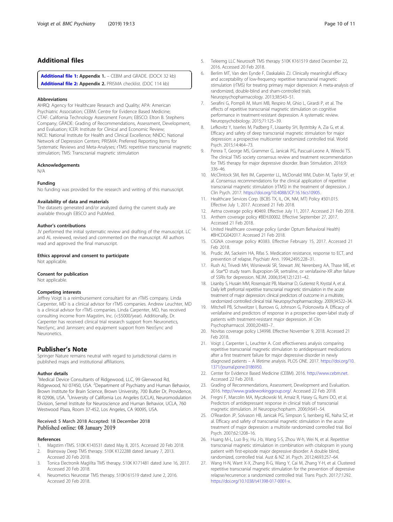# <span id="page-9-0"></span>Additional files

[Additional file 1:](https://doi.org/10.1186/s12888-018-1989-z) Appendix 1. - CEBM and GRADE. (DOCX 32 kb) [Additional file 2:](https://doi.org/10.1186/s12888-018-1989-z) Appendix 2. PRISMA checklist. (DOC 114 kb)

#### Abbreviations

AHRQ: Agency for Healthcare Research and Quality; APA: American Psychiatric Association; CEBM: Centre for Evidence Based Medicine; CTAF: California Technology Assessment Forum; EBSCO: Elton B. Stephens Company; GRADE: Grading of Recommendations, Assessment, Development, and Evaluation; ICER: Institute for Clinical and Economic Review; NICE: National Institute for Health and Clinical Excellence; NNDC: National Network of Depression Centers; PRISMA: Preferred Reporting Items for Systematic Reviews and Meta-Analyses; rTMS: repetitive transcranial magnetic stimulation; TMS: Transcranial magnetic stimulation

### Acknowledgements

N/A

#### Funding

No funding was provided for the research and writing of this manuscript.

### Availability of data and materials

The datasets generated and/or analyzed during the current study are available through EBSCO and PubMed.

#### Author's contributions

JV performed the initial systematic review and drafting of the manuscript. LC and AL reviewed, revised and commented on the manuscript. All authors read and approved the final manuscript.

#### Ethics approval and consent to participate

Not applicable.

#### Consent for publication

Not applicable.

#### Competing interests

Jeffrey Voigt is a reimbursement consultant for an rTMS company. Linda Carpenter, MD is a clinical advisor for rTMS companies. Andrew Leuchter, MD is a clinical advisor for rTMS companies. Linda Carpenter, MD, has received consulting income from Magstim, Inc. (<\$5000/year). Additionally, Dr. Carpenter has received clinical trial research support from Neuronetics, NeoSync, and Jannssen; and equipment support from NeoSync and Neuronetics.

# Publisher's Note

Springer Nature remains neutral with regard to jurisdictional claims in published maps and institutional affiliations.

#### Author details

<sup>1</sup>Medical Device Consultants of Ridgewood, LLC, 99 Glenwood Rd, Ridgewood, NJ 07450, USA. <sup>2</sup>Department of Psychiatry and Human Behavior, Brown Institute for Brain Science, Brown University, 700 Butler Dr, Providence, RI 02906, USA. <sup>3</sup>University of California Los Angeles (UCLA), Neuromodulation Division, Semel Institute for Neuroscience and Human Behavior, UCLA, 760 Westwood Plaza, Room 37-452, Los Angeles, CA 90095, USA.

## Received: 5 March 2018 Accepted: 18 December 2018 Published online: 08 January 2019

#### References

- 1. Magstim rTMS. 510K K143531 dated May 8, 2015. Accessed 20 Feb 2018.
- 2. Brainsway Deep TMS therapy. 510K K122288 dated January 7, 2013. Accessed 20 Feb 2018.
- 3. Tonica Electronik MagVita TMS therapy. 510K K171481 dated June 16, 2017. Accessed 20 Feb 2018.
- Neuornetics Neurostar TMS therapy. 510K161519 dated June 2, 2016. Accessed 20 Feb 2018.
- 5. Teleemg LLC Neurosoft TMS therapy 510K K161519 dated December 22, 2016. Accessed 20 Feb 2018.
- 6. Berlim MT, Van den Eynde F, Daskalakis ZJ. Clinically meaningful efficacy and acceptability of low-frequency repetitive transcranial magnetic stimulation (rTMS) for treating primary major depression: A meta-analysis of randomized, double-blind and sham-controlled trials. Neuropsychopharmacology. 2013;38:543–51.
- 7. Serafini G, Pompili M, Murri MB, Respiro M, Ghio L, Girardi P, et al. The effects of repetitive transcranial magnetic stimulation on cognitive performance in treatment-resistant depression. A systematic review. Neuropsychobiology. 2015;71:125–39.
- Lefkovitz Y, Isserles M, Padberg F, Lisaanby SH, Bystritsky A, Zia G, et al. Efficacy and safety of deep transcranial magnetic stimulation for major depression: a prospective multicenter randomized controlled trial. World Psych. 2015;14:464–73.
- 9. Perera T, George MS, Grammer G, Janicak PG, Pascual-Leone A, Wirecki TS. The clinical TMS society consensus review and treatment recommendation for TMS therapy for major depressive disorder. Brain Stimulation. 2016;9: 336–46.
- 10. McClintock SM, Reti IM, Carpenter LL, McDonald WM, Dubin M, Taylor SF, et al. Consensus recommendations for the clinical application of repetitive transcranial magnetic stimulation (rTMS) in the treatment of depression. J Clin Psych. 2017. <https://doi.org/10.4088/JCP.16.16cs10905>.
- 11. Healthcare Services Corp. (BCBS TX, IL, OK, NM, MT) Policy #301.015. Effective July 1, 2017. Accessed 21 Feb 2018.
- 12. Aetna coverage policy #0469. Effective July 11, 2017. Accessed 21 Feb 2018.
- 13. Anthem coverage policy #BEH.00002. Effective September 27, 2017. Accessed 21 Feb 2018.
- 14. United Healthcare coverage policy (under Optum Behavioral Health) #BHCDG042017. Accessed 21 Feb 2018.
- 15. CIGNA coverage policy #0383. Effective February 15, 2017. Accessed 21 Feb 2018.
- 16. Prudic JM, Sackeim HA, Rifas S. Medication resistance, response to ECT, and prevention of relapse. Psychiatr Ann. 1994;2495:228–31.
- 17. Rush AJ, Trivedi MH, Wisniewski SR, Stewart JW, Nerenberg AA, Thase ME, et al. Star\*D study team. Bupropion-SR, sertraline, or venlafaxine-XR after failure of SSRIs for depression. NEJM. 2006;354(12):1231–42.
- 18. Lisanby S, Husain MM, Rosenquist PB, Maximar D, Gutierrez R, Krystal A, et al. Daily left prefrontal repetitive transcranial magnetic stimulation in the acute treatment of major depression: clinical predictors of outcome in a multisite, randomized controlled clinical trial. Neuropsychopharmacology. 2009;34:522–34.
- 19. Mitchell PB, Schweitzer I, Burrows G, Johnson G, Polonowita A. Efficacy of venlafaxine and predictors of response in a prospective open-label study of patients with treatment-resistant major depression. Jrl Clin Psychopharmacol. 2000;20:483–7.
- 20. Novitas coverage policy L34998. Effective November 9, 2018. Accessed 21 Feb 2018.
- 21. Voigt J, Carpenter L, Leuchter A. Cost effectiveness analysis comparing repetitive transcranial magnetic stimulation to antidepressant medications after a first treatment failure for major depressive disorder in newly diagnosed patients – A lifetime analysis. PLOS ONE. 2017. [https://doi.org/10.](https://doi.org/10.1371/journal.pone.0186950) [1371/journal.pone.0186950](https://doi.org/10.1371/journal.pone.0186950).
- 22. Center for Evidence Based Medicine (CEBM). 2016. [http://www.cebm.net.](http://www.cebm.net) Accessed 22 Feb 2018.
- 23. Grading of Recommendations, Assessment, Development and Evaluation. 2016. <http://www.gradeworkinggroup.org/>. Accessed 22 Feb 2018.
- 24. Fregni F, Marcolin MA, Myczkowski M, Amaiz R, Hasey G, Rumi DO, et al. Predictors of antidepressant response in clinical trials of transcranial magnetic stimulation. Jrl Neuropsychopharm. 2006;9:641–54.
- 25. O'Reardon JP, Solvason HB, Janicak PG, Simpson S, Isenberg KE, Naha SZ, et al. Efficacy and safety of transcranial magnetic stimulation in the acute treatment of major depression: a multisite randomized controlled trial. Biol Psych. 2007;62:1208–16.
- 26. Huang M-L, Luo B-y, Hu J-b, Wang S-S, Zhou W-h, Wei N, et al. Repetitive transcranial magnetic stimulation in combination with citalopram in young patient with first-episode major depressive disorder: A double blind, randomized, controlled trial. Aust & NZ Jrl. Psych. 2012;4693:257–64.
- 27. Wang H-N, Want X-X, Zhang R-G, Wang Y, Cai M, Zhang Y-H, et al. Clustered repetitive transcranial magnetic stimulation for the prevention of depressive relapse/recurrence: a randomized controlled trial. Trans Psych. 2017;7:1292. [https://doi.org/10.1038/s41398-017-0001-x.](https://doi.org/10.1038/s41398-017-0001-x)